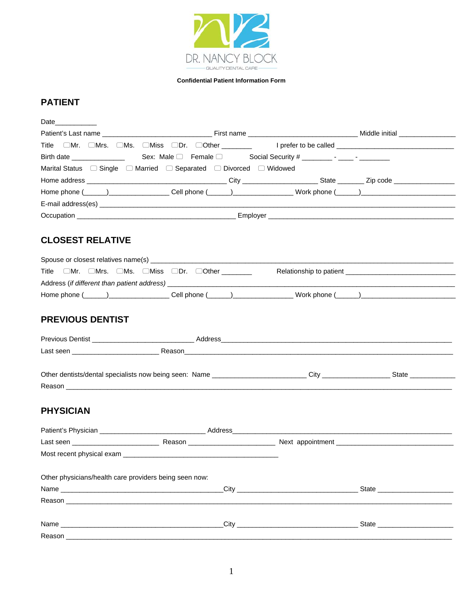

# **PATIENT**

| Date____________                                                                                               |  |
|----------------------------------------------------------------------------------------------------------------|--|
|                                                                                                                |  |
| Title □Mr. □Mrs. □Ms. □Miss □Dr. □Other ______   prefer to be called ___________                               |  |
|                                                                                                                |  |
| Marital Status $\Box$ Single $\Box$ Married $\Box$ Separated $\Box$ Divorced $\Box$ Widowed                    |  |
|                                                                                                                |  |
| Home phone (_____)____________________Cell phone (_____)_________________Work phone (_____)___________________ |  |
|                                                                                                                |  |
|                                                                                                                |  |

# **CLOSEST RELATIVE**

|              | Spouse or closest relatives name(s)                                   |  |  |              |  |                         |  |
|--------------|-----------------------------------------------------------------------|--|--|--------------|--|-------------------------|--|
| Title        | $\Box$ Mr. $\Box$ Mrs. $\Box$ Ms. $\Box$ Miss $\Box$ Dr. $\Box$ Other |  |  |              |  | Relationship to patient |  |
|              | Address (if different than patient address)                           |  |  |              |  |                         |  |
| Home phone ( |                                                                       |  |  | Cell phone ( |  | Work phone (            |  |

# PREVIOUS DENTIST

| Previous Dentist |        | Address |
|------------------|--------|---------|
| Last seen        | Reason |         |
|                  |        |         |

| Other dentists/dental<br>neina r<br>seen: "<br>specialists now | Name | ∕ان | State |
|----------------------------------------------------------------|------|-----|-------|
| Reasor                                                         |      |     |       |

# **PHYSICIAN**

| Last seen ______________________________               | Reason ___________________________ |  |                               |
|--------------------------------------------------------|------------------------------------|--|-------------------------------|
|                                                        |                                    |  |                               |
|                                                        |                                    |  |                               |
| Other physicians/health care providers being seen now: |                                    |  |                               |
|                                                        |                                    |  |                               |
|                                                        |                                    |  |                               |
|                                                        |                                    |  |                               |
|                                                        |                                    |  | State _______________________ |
| Reason _________________                               |                                    |  |                               |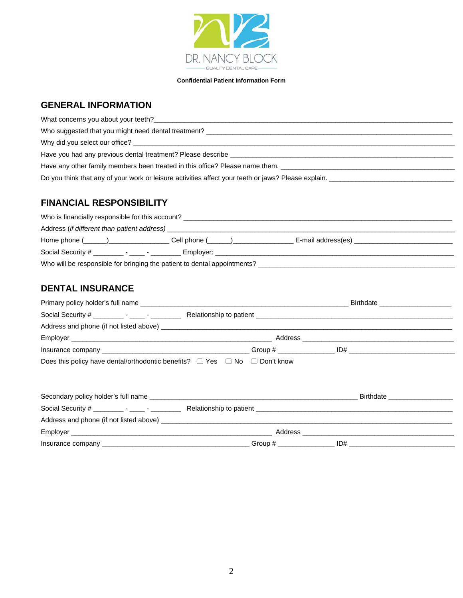

## **GENERAL INFORMATION**

| What concerns you about your teeth?                                                                 |
|-----------------------------------------------------------------------------------------------------|
|                                                                                                     |
|                                                                                                     |
| Have you had any previous dental treatment? Please describe ____________________                    |
| Have any other family members been treated in this office? Please name them.                        |
| Do you think that any of your work or leisure activities affect your teeth or jaws? Please explain. |

## **FINANCIAL RESPONSIBILITY**

| Who is financially responsible for this account?                         |                                    |  |  |
|--------------------------------------------------------------------------|------------------------------------|--|--|
|                                                                          |                                    |  |  |
| $Home$ phone $($ and $)$                                                 | Cell phone (______)_______________ |  |  |
|                                                                          |                                    |  |  |
| Who will be responsible for bringing the patient to dental appointments? |                                    |  |  |

# **DENTAL INSURANCE**

|                                                                                           |  | Birthdate ________________________ |  |
|-------------------------------------------------------------------------------------------|--|------------------------------------|--|
|                                                                                           |  |                                    |  |
|                                                                                           |  |                                    |  |
|                                                                                           |  |                                    |  |
|                                                                                           |  |                                    |  |
| Does this policy have dental/orthodontic benefits? $\Box$ Yes $\Box$ No $\Box$ Don't know |  |                                    |  |
|                                                                                           |  |                                    |  |
|                                                                                           |  |                                    |  |

| Secondary policy holder's full name       |                         | <b>Birthdate</b> |  |
|-------------------------------------------|-------------------------|------------------|--|
|                                           | Relationship to patient |                  |  |
| Address and phone (if not listed above) _ |                         |                  |  |
|                                           | Address                 |                  |  |
| Insurance company                         | Group #                 | ID#              |  |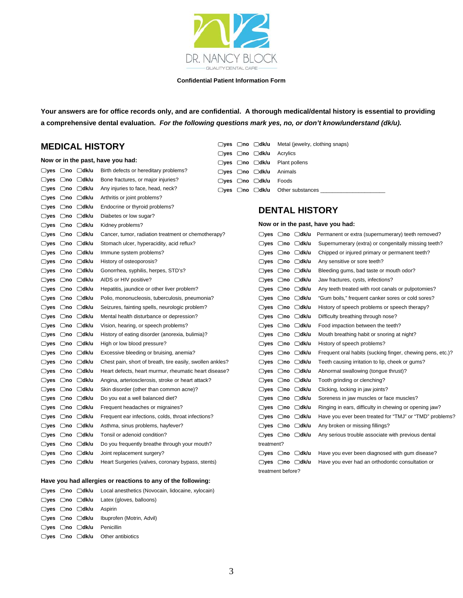

**Your answers are for office records only, and are confidential. A thorough medical/dental history is essential to providing a comprehensive dental evaluation.** *For the following questions mark yes, no, or don't know/understand (dk/u).*

### **MEDICAL HISTORY**

|                      |           |                                  | Now or in the past, have you had:                         | ye:ل |
|----------------------|-----------|----------------------------------|-----------------------------------------------------------|------|
| $\Box$ yes           | $\Box$ no | ⊡dk/u                            | Birth defects or hereditary problems?                     | □ye: |
| $\Box$ ves           | ⊡no       | ⊟dk/u                            | Bone fractures, or major injuries?                        | □ye: |
|                      |           | $\Box$ yes $\Box$ no $\Box$ dk/u | Any injuries to face, head, neck?                         | ⊟ye: |
|                      |           | □yes □no □dk/u                   | Arthritis or joint problems?                              |      |
| □yes □no             |           | □dk/u                            | Endocrine or thyroid problems?                            |      |
| □yes □no             |           | $\Box$ dk/u                      | Diabetes or low sugar?                                    |      |
| $\Box$ yes $\Box$ no |           | ⊟dk/u                            | Kidney problems?                                          |      |
| $\Box$ yes $\Box$ no |           | ⊟dk/u                            | Cancer, tumor, radiation treatment or chemotherapy?       |      |
| □yes □no             |           | ⊡dk/u                            | Stomach ulcer, hyperacidity, acid reflux?                 |      |
| ⊟yes □no             |           | ⊟dk/u                            | Immune system problems?                                   |      |
| □yes □no             |           | $\Box$ dk/u                      | History of osteoporosis?                                  |      |
| $\Box$ yes $\Box$ no |           | ⊡dk/u                            | Gonorrhea, syphilis, herpes, STD's?                       |      |
| ○yes ○no             |           | ⊟dk/u                            | AIDS or HIV positive?                                     |      |
| ⊟yes □no             |           | ⊟dk/u                            | Hepatitis, jaundice or other liver problem?               |      |
| ⊟yes □no             |           | □dk/u                            | Polio, mononucleosis, tuberculosis, pneumonia?            |      |
| $\Box$ yes $\Box$ no |           | ⊡dk/u                            | Seizures, fainting spells, neurologic problem?            |      |
| $\Box$ yes $\Box$ no |           | ⊡dk/u                            | Mental health disturbance or depression?                  |      |
| $\Box$ yes $\Box$ no |           | □dk/u                            | Vision, hearing, or speech problems?                      |      |
| ○yes ○no             |           | ⊟dk/u                            | History of eating disorder (anorexia, bulimia)?           |      |
| □yes □no             |           | □dk/u                            | High or low blood pressure?                               |      |
| □yes □no             |           | ⊟dk/u                            | Excessive bleeding or bruising, anemia?                   |      |
| $\Box$ yes $\Box$ no |           | ⊡dk/u                            | Chest pain, short of breath, tire easily, swollen ankles? |      |
| ⊟yes ⊡no             |           | ⊡dk/u                            | Heart defects, heart murmur, rheumatic heart disease?     |      |
| ○yes ○no             |           | ⊟dk/u                            | Angina, arteriosclerosis, stroke or heart attack?         |      |
| ⊟yes                 | $\Box$ no | □dk/u                            | Skin disorder (other than common acne)?                   |      |
| $\Box$ yes $\Box$ no |           | □dk/u                            | Do you eat a well balanced diet?                          |      |
| $\Box$ yes $\Box$ no |           | ⊟dk/u                            | Frequent headaches or migraines?                          |      |
| $\Box$ yes $\Box$ no |           | ⊟dk/u                            | Frequent ear infections, colds, throat infections?        |      |
| ⊟yes                 | $\Box$ no | □dk/u                            | Asthma, sinus problems, hayfever?                         |      |
| ⊟yes □no             |           | ⊟dk/u                            | Tonsil or adenoid condition?                              |      |
| $\Box$ yes $\Box$ no |           | ⊡dk/u                            | Do you frequently breathe through your mouth?             |      |
| $\Box$ yes $\Box$ no |           | $\Box$ dk/u                      | Joint replacement surgery?                                |      |
| ⊟yes                 | ⊟no       | ⊟dk/u                            | Heart Surgeries (valves, coronary bypass, stents)         |      |

#### **Have you had allergies or reactions to any of the following:**

|                                                    | $\Box$ yes $\Box$ no $\Box$ dk/u Local anesthetics (Novocain, lidocaine, xylocain) |
|----------------------------------------------------|------------------------------------------------------------------------------------|
|                                                    | $\Box$ yes $\Box$ no $\Box$ dk/u Latex (gloves, balloons)                          |
| $\Box$ yes $\Box$ no $\Box$ dk/u Aspirin           |                                                                                    |
|                                                    | $\Box$ yes $\Box$ no $\Box$ dk/u Ibuprofen (Motrin, Advil)                         |
| $\Box$ ves $\Box$ no $\Box$ dk/u Penicillin        |                                                                                    |
| $\Box$ yes $\Box$ no $\Box$ dk/u Other antibiotics |                                                                                    |

|  |                                           | $\Box$ yes $\Box$ no $\Box$ dk/u Metal (jewelry, clothing snaps) |
|--|-------------------------------------------|------------------------------------------------------------------|
|  | $\Box$ yes $\Box$ no $\Box$ dk/u Acrylics |                                                                  |
|  |                                           | $\Box$ yes $\Box$ no $\Box$ dk/u Plant pollens                   |
|  | □yes □no □dk/u Animals                    |                                                                  |
|  | <b>□yes □no □dk/u</b> Foods               |                                                                  |
|  |                                           | $\Box$ yes $\Box$ no $\Box$ dk/u Other substances $\Box$         |
|  |                                           |                                                                  |

### **DENTAL HISTORY**

| Now or in the past, have you had: |            |             |                                                            |  |  |  |
|-----------------------------------|------------|-------------|------------------------------------------------------------|--|--|--|
| $\Box$ yes $\Box$ no              |            | ∩dk/u       | Permanent or extra (supernumerary) teeth removed?          |  |  |  |
| $\Box$ yes                        | $\Box$ no  | ⊟dk/u       | Supernumerary (extra) or congenitally missing teeth?       |  |  |  |
| $\Box$ ves                        | Ono        | □dk/u       | Chipped or injured primary or permanent teeth?             |  |  |  |
| $\Box$ yes $\Box$ no              |            | ⊟dk/u       | Any sensitive or sore teeth?                               |  |  |  |
| $\Box$ yes                        | $\Box$ no  | □dk/u       | Bleeding gums, bad taste or mouth odor?                    |  |  |  |
| $\Box$ yes                        | □no        | □dk/u       | Jaw fractures, cysts, infections?                          |  |  |  |
| ○ves ○no                          |            | □dk/u       | Any teeth treated with root canals or pulpotomies?         |  |  |  |
| $\Box$ yes                        | ∩ ⊃no      | ⊟dk/u       | "Gum boils," frequent canker sores or cold sores?          |  |  |  |
| $\Box$ yes $\Box$ no              |            | □dk/u       | History of speech problems or speech therapy?              |  |  |  |
| $\Box$ yes $\Box$ no              |            | □dk/u       | Difficulty breathing through nose?                         |  |  |  |
| $\Box$ yes                        | ⊟no        | $\Box$ dk/u | Food impaction between the teeth?                          |  |  |  |
| ○yes ○no                          |            | ⊟dk/u       | Mouth breathing habit or snoring at night?                 |  |  |  |
| □yes □no                          |            | □dk/u       | History of speech problems?                                |  |  |  |
| □yes □no                          |            | ⊟dk/u       | Frequent oral habits (sucking finger, chewing pens, etc.)? |  |  |  |
| $\Box$ yes $\Box$ no              |            | □dk/u       | Teeth causing irritation to lip, cheek or gums?            |  |  |  |
| $\Box$ yes $\Box$ no              |            | □dk/u       | Abnormal swallowing (tongue thrust)?                       |  |  |  |
| $\Box$ yes                        | — Ono      | □dk/u       | Tooth grinding or clenching?                               |  |  |  |
| □yes □no                          |            | □dk/u       | Clicking, locking in jaw joints?                           |  |  |  |
| $\Box$ yes $\Box$ no              |            | □dk/u       | Soreness in jaw muscles or face muscles?                   |  |  |  |
| $\Box$ yes                        | □no        | $\Box$ dk/u | Ringing in ears, difficulty in chewing or opening jaw?     |  |  |  |
| $\Box$ yes $\Box$ no              |            | □dk/u       | Have you ever been treated for "TMJ" or "TMD" problems?    |  |  |  |
| $\Box$ yes $\Box$ no              |            | ⊟dk/u       | Any broken or missing fillings?                            |  |  |  |
| ○ves ○no                          |            | □dk/u       | Any serious trouble associate with previous dental         |  |  |  |
|                                   | treatment? |             |                                                            |  |  |  |
| ⊟ves                              | $\Box$ no  | ⊟dk/u       | Have you ever been diagnosed with gum disease?             |  |  |  |
| $\Box$ yes $\Box$ no              |            | □dk/u       | Have you ever had an orthodontic consultation or           |  |  |  |
| treatment before?                 |            |             |                                                            |  |  |  |